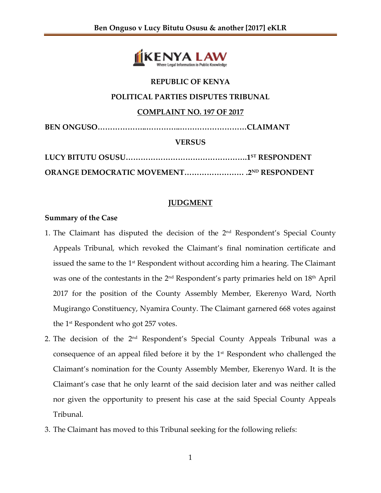

## **REPUBLIC OF KENYA**

### **POLITICAL PARTIES DISPUTES TRIBUNAL**

## **COMPLAINT NO. 197 OF 2017**

| <b>VERSUS</b> |
|---------------|
|               |

**ORANGE DEMOCRATIC MOVEMENT…………………… .2 ND RESPONDENT**

# **JUDGMENT**

## **Summary of the Case**

- 1. The Claimant has disputed the decision of the 2<sup>nd</sup> Respondent's Special County Appeals Tribunal, which revoked the Claimant's final nomination certificate and issued the same to the 1st Respondent without according him a hearing. The Claimant was one of the contestants in the 2<sup>nd</sup> Respondent's party primaries held on 18<sup>th</sup> April 2017 for the position of the County Assembly Member, Ekerenyo Ward, North Mugirango Constituency, Nyamira County. The Claimant garnered 668 votes against the 1st Respondent who got 257 votes.
- 2. The decision of the 2<sup>nd</sup> Respondent's Special County Appeals Tribunal was a consequence of an appeal filed before it by the  $1<sup>st</sup>$  Respondent who challenged the Claimant's nomination for the County Assembly Member, Ekerenyo Ward. It is the Claimant's case that he only learnt of the said decision later and was neither called nor given the opportunity to present his case at the said Special County Appeals Tribunal.
- 3. The Claimant has moved to this Tribunal seeking for the following reliefs: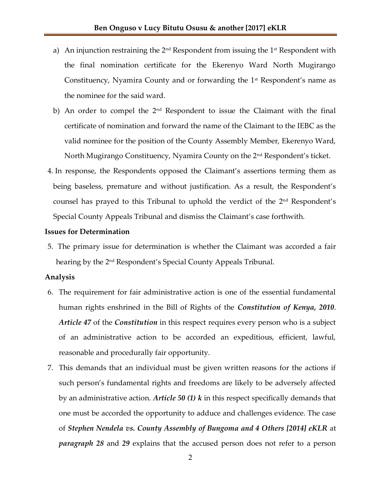- a) An injunction restraining the  $2^{nd}$  Respondent from issuing the  $1^{st}$  Respondent with the final nomination certificate for the Ekerenyo Ward North Mugirango Constituency, Nyamira County and or forwarding the 1<sup>st</sup> Respondent's name as the nominee for the said ward.
- b) An order to compel the 2<sup>nd</sup> Respondent to issue the Claimant with the final certificate of nomination and forward the name of the Claimant to the IEBC as the valid nominee for the position of the County Assembly Member, Ekerenyo Ward, North Mugirango Constituency, Nyamira County on the 2<sup>nd</sup> Respondent's ticket.
- 4. In response, the Respondents opposed the Claimant's assertions terming them as being baseless, premature and without justification. As a result, the Respondent's counsel has prayed to this Tribunal to uphold the verdict of the 2<sup>nd</sup> Respondent's Special County Appeals Tribunal and dismiss the Claimant's case forthwith.

#### **Issues for Determination**

5. The primary issue for determination is whether the Claimant was accorded a fair hearing by the 2<u>nd Respondent's Special County Appeals Tribunal.</u>

#### **Analysis**

- 6. The requirement for fair administrative action is one of the essential fundamental human rights enshrined in the Bill of Rights of the *Constitution of Kenya, 2010*. *Article 47* of the *Constitution* in this respect requires every person who is a subject of an administrative action to be accorded an expeditious, efficient, lawful, reasonable and procedurally fair opportunity.
- 7. This demands that an individual must be given written reasons for the actions if such person's fundamental rights and freedoms are likely to be adversely affected by an administrative action. *Article 50 (1) k* in this respect specifically demands that one must be accorded the opportunity to adduce and challenges evidence. The case of *Stephen Nendela vs. County Assembly of Bungoma and 4 Others [2014] eKLR* at *paragraph 28* and *29* explains that the accused person does not refer to a person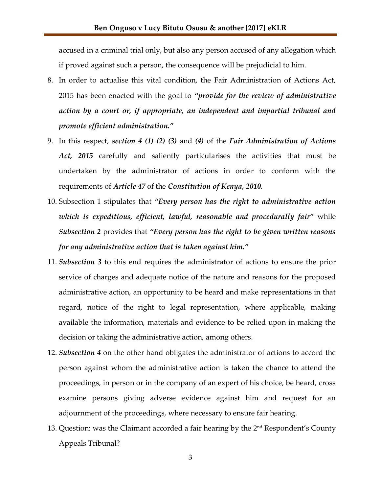accused in a criminal trial only, but also any person accused of any allegation which if proved against such a person, the consequence will be prejudicial to him.

- 8. In order to actualise this vital condition, the Fair Administration of Actions Act, 2015 has been enacted with the goal to *"provide for the review of administrative action by a court or, if appropriate, an independent and impartial tribunal and promote efficient administration."*
- 9. In this respect, *section 4 (1) (2) (3)* and *(4)* of the *Fair Administration of Actions Act, 2015* carefully and saliently particularises the activities that must be undertaken by the administrator of actions in order to conform with the requirements of *Article 47* of the *Constitution of Kenya, 2010.*
- 10. Subsection 1 stipulates that *"Every person has the right to administrative action which is expeditious, efficient, lawful, reasonable and procedurally fair"* while *Subsection 2* provides that *"Every person has the right to be given written reasons for any administrative action that is taken against him."*
- 11. *Subsection 3* to this end requires the administrator of actions to ensure the prior service of charges and adequate notice of the nature and reasons for the proposed administrative action, an opportunity to be heard and make representations in that regard, notice of the right to legal representation, where applicable, making available the information, materials and evidence to be relied upon in making the decision or taking the administrative action, among others.
- 12. *Subsection 4* on the other hand obligates the administrator of actions to accord the person against whom the administrative action is taken the chance to attend the proceedings, in person or in the company of an expert of his choice, be heard, cross examine persons giving adverse evidence against him and request for an adjournment of the proceedings, where necessary to ensure fair hearing.
- 13. Question: was the Claimant accorded a fair hearing by the 2<sup>nd</sup> Respondent's County Appeals Tribunal?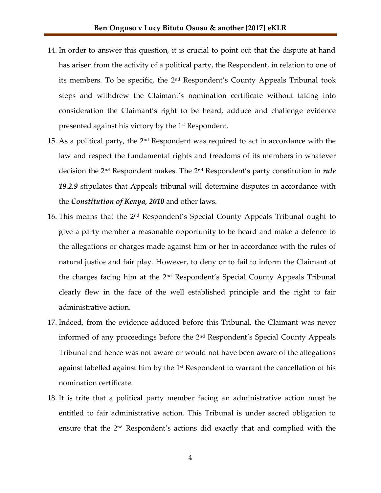- 14. In order to answer this question, it is crucial to point out that the dispute at hand has arisen from the activity of a political party, the Respondent, in relation to one of its members. To be specific, the 2<sup>nd</sup> Respondent's County Appeals Tribunal took steps and withdrew the Claimant's nomination certificate without taking into consideration the Claimant's right to be heard, adduce and challenge evidence presented against his victory by the 1st Respondent.
- 15. As a political party, the  $2<sup>nd</sup>$  Respondent was required to act in accordance with the law and respect the fundamental rights and freedoms of its members in whatever decision the 2nd Respondent makes. The 2 nd Respondent's party constitution in *rule 19.2.9* stipulates that Appeals tribunal will determine disputes in accordance with the *Constitution of Kenya, 2010* and other laws.
- 16. This means that the 2<sup>nd</sup> Respondent's Special County Appeals Tribunal ought to give a party member a reasonable opportunity to be heard and make a defence to the allegations or charges made against him or her in accordance with the rules of natural justice and fair play. However, to deny or to fail to inform the Claimant of the charges facing him at the 2<sup>nd</sup> Respondent's Special County Appeals Tribunal clearly flew in the face of the well established principle and the right to fair administrative action.
- 17. Indeed, from the evidence adduced before this Tribunal, the Claimant was never informed of any proceedings before the 2nd Respondent's Special County Appeals Tribunal and hence was not aware or would not have been aware of the allegations against labelled against him by the  $1<sup>st</sup>$  Respondent to warrant the cancellation of his nomination certificate.
- 18. It is trite that a political party member facing an administrative action must be entitled to fair administrative action. This Tribunal is under sacred obligation to ensure that the 2<sup>nd</sup> Respondent's actions did exactly that and complied with the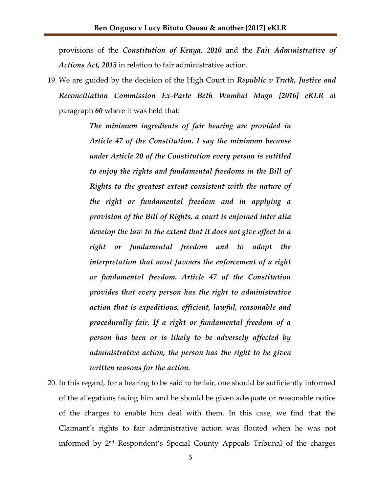provisions of the *Constitution of Kenya, 2010* and the *Fair Administrative of Actions Act, 2015* in relation to fair administrative action.

19. We are guided by the decision of the High Court in *Republic v Truth, Justice and Reconciliation Commission Ex-Parte Beth Wambui Mugo [2016] eKLR* at paragraph *60* where it was held that:

> *The minimum ingredients of fair hearing are provided in Article 47 of the Constitution. I say the minimum because under Article 20 of the Constitution every person is entitled to enjoy the rights and fundamental freedoms in the Bill of Rights to the greatest extent consistent with the nature of the right or fundamental freedom and in applying a provision of the Bill of Rights, a court is enjoined inter alia develop the law to the extent that it does not give effect to a right or fundamental freedom and to adopt the interpretation that most favours the enforcement of a right or fundamental freedom. Article 47 of the Constitution provides that every person has the right to administrative action that is expeditious, efficient, lawful, reasonable and procedurally fair. If a right or fundamental freedom of a person has been or is likely to be adversely affected by administrative action, the person has the right to be given written reasons for the action.*

20. In this regard, for a hearing to be said to be fair, one should be sufficiently informed of the allegations facing him and he should be given adequate or reasonable notice of the charges to enable him deal with them. In this case, we find that the Claimant's rights to fair administrative action was flouted when he was not informed by 2nd Respondent's Special County Appeals Tribunal of the charges